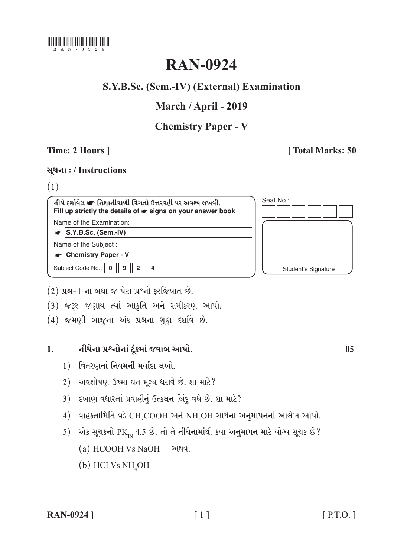

# **RAN-0924**

# S.Y.B.Sc. (Sem.-IV) (External) Examination

# March / April - 2019

# **Chemistry Paper - V**

# Time: 2 Hours ]

# [Total Marks: 50

# સૂચના: / Instructions

# $(1)$

| નીચે દર્શાવેલ σ નિશાનીવાળી વિગતો ઉત્તરવહી પર અવશ્ય લખવી.<br>Fill up strictly the details of $\bullet$ signs on your answer book | Seat No.:           |
|---------------------------------------------------------------------------------------------------------------------------------|---------------------|
| Name of the Examination:                                                                                                        |                     |
| $ S.Y.B.Sc.$ (Sem.-IV)                                                                                                          |                     |
| Name of the Subject:                                                                                                            |                     |
| <b>Chemistry Paper - V</b>                                                                                                      |                     |
| Subject Code No.:<br>9<br>2                                                                                                     | Student's Signature |

(2) પ્રશ્ન-1 ના બધા જ પેટા પ્રશ્નો ફરજિયાત છે.

(3) જરૂર જણાય ત્યાં આકૃતિ અને સમીકરણ આપો.

(4) જમણી બાજુના અંક પ્રશ્નના ગુણ દર્શાવે છે.

#### નીચેના પ્રશ્નોનાં ટૂંકમાં જવાબ આપો.  $1<sup>1</sup>$

- 1) વિતરણનાં નિયમની મર્યાદા લખો.
- 2) અવશોષણ ઉષ્મા ઘન મૂલ્ય ધરાવે છે. શા માટે?
- 3) દબાણ વધારતાં પ્રવાહીનું ઉત્કલન બિંદુ વધે છે. શા માટે?
- 4) વાહકતામિતિ વડે CH3COOH અને NH2OH સાથેના અનુમાપનનો આલેખ આપો.
- 5) એક સૂચકનો PK 2.5 છે. તો તે નીચેનામાંથી કયા અનુમાપન માટે યોગ્ય સૂચક છે?
	- (a) HCOOH Vs NaOH અથવા
	- $(b)$  HCI Vs NH<sub>4</sub>OH

**RAN-0924** ]

 $0<sub>5</sub>$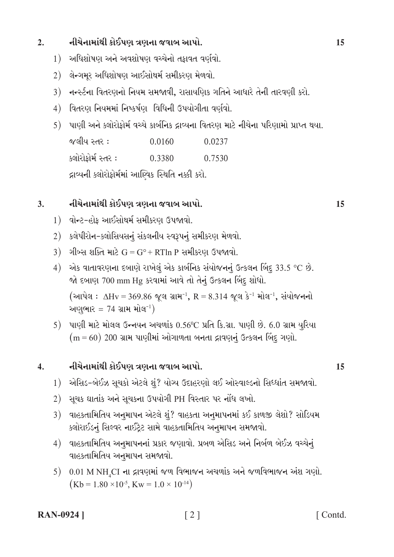#### નીચેનામાંથી કોઈપણ ત્રણના જવાબ આપો.  $2.$

- 1) અધિશોષણ અને અવશોષણ વચ્ચેનો તકાવત વર્ણવો.
- 2) લેન્ગમુર અધિશોષણ આઈસોથર્મ સમીકરણ મેળવો.
- 3) નન્સ્ટના વિતરણનો નિયમ સમજાવી, રાસાયણિક ગતિને આધારે તેની તારવણી કરો.
- 4) વિતરણ નિયમમાં નિષ્કર્ષણ વિધિની ઉપયોગીતા વર્ણવો.
- 5) પાણી અને ક્લોરોફોર્મ વચ્ચે કાર્બનિક દ્રાવ્યના વિતરણ માટે નીચેના પરિણામો પ્રાપ્ત થયા.

જલીય સ્તર:  $0.0160$ 0.0237 ક્લોરોકોર્મ સ્તર : 0.3380 0.7530 દ્રાવ્યની ક્લોરોફોર્મમાં આણ્વિક સ્થિતિ નક્કી કરો.

#### નીચેનામાંથી કોઈપણ ત્રણના જવાબ આપો.  $3.$

- 1) વોન્ટ-હોક આઈસોથર્મ સમીકરણ ઉપજાવો.
- 2) કલેપીરોન-ક્લોસિયસનું સંકલનીય સ્વરૂપનું સમીકરણ મેળવો.
- 3) ગીબ્સ શક્તિ માટે  $G = G^{\circ} + RT \ln P$  સમીકરણ ઉપજાવો.
- $4)$  એક વાતાવરણના દબાણે રાખેલું એક કાર્બનિક સંયોજનનું ઉત્કલન બિંદુ 33.5 °C છે. જો દબાણ 700 mm Hg કરવામાં આવે તો તેનું ઉત્કલન બિંદુ શોધો. (આપેલ:  $\Delta Hv = 369.86$  જૂલ ગ્રામ<sup>-1</sup>, R = 8.314 જૂલ કે<sup>-1</sup> મોલ<sup>-1</sup>, સંયોજનનો

અણુભાર = 74 ગ્રામ મોલ<sup>-1</sup>)

5) પાણી માટે મોલલ ઉન્નયન અચળાંક 0.56°C પ્રતિ કિ.ગ્રા. પાણી છે. 6.0 ગ્રામ યુરિયા  $(m = 60)$  200 ગ્રામ પાણીમાં ઓગાળતા બનતા દ્રાવણનું ઉત્કલન બિંદુ ગણો.

#### નીચેનામાંથી કોઈપણ ત્રણના જવાબ આપો.  $\overline{4}$ .

- 1) એસિડ-બેઈઝ સૂચકો એટલે શું? યોગ્ય ઉદાહરણો લઈ ઓસ્વાલ્ડનો સિધ્ધાંત સમજાવો.
- 2) સૂચક ઘાતાંક અને સૂચકના ઉપયોગી PH વિસ્તાર પર નોંધ લખો.
- 3) વાહકતામિતિય અનુમાપન એટલે શું? વાહકતા અનુમાપનમાં કઈ કાળજી લેશો? સોડિયમ ક્લોરાઈડનું સિલ્વર નાઈટ્રેટ સામે વાહકતામિતિય અનુમાપન સમજાવો.
- 4) વાહકતામિતિય અનુમાપનનાં પ્રકાર જણાવો. પ્રબળ એસિડ અને નિર્બળ બેઈઝ વચ્ચેનું વાહકતામિતિય અનુમાપન સમજાવો.
- $0.01$  M NH CI ના દ્રાવણમાં જળ વિભાજન અચળાંક અને જળવિભાજન અંશ ગણો.  $5)$  $(Kb = 1.80 \times 10^{-5}, Kw = 1.0 \times 10^{-14})$

### **RAN-0924** ]

[Contd.]

15

15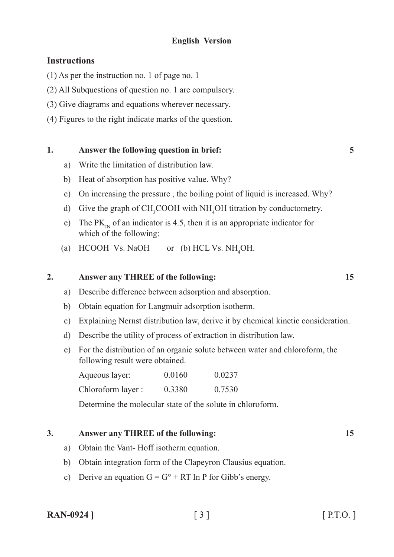# **English Version**

# **Instructions**

- (1) As per the instruction no. 1 of page no. 1
- (2) All Subquestions of question no. 1 are compulsory.
- (3) Give diagrams and equations wherever necessary.
- (4) Figures to the right indicate marks of the question.

### **1. Answer the following question in brief: 5**

- a) Write the limitation of distribution law.
- b) Heat of absorption has positive value. Why?
- c) On increasing the pressure , the boiling point of liquid is increased. Why?
- d) Give the graph of  $CH_3COOH$  with NH<sub>4</sub>OH titration by conductometry.
- e) The  $PK_{IN}$  of an indicator is 4.5, then it is an appropriate indicator for which of the following:
- (a) HCOOH Vs. NaOH or (b) HCL Vs.  $NH<sub>4</sub>OH$ .

### **2. Answer any THREE of the following: 15**

- a) Describe difference between adsorption and absorption.
- b) Obtain equation for Langmuir adsorption isotherm.
- c) Explaining Nernst distribution law, derive it by chemical kinetic consideration.
- d) Describe the utility of process of extraction in distribution law.
- e) For the distribution of an organic solute between water and chloroform, the following result were obtained.

| Aqueous layer:     | 0.0160 | 0.0237 |
|--------------------|--------|--------|
| Chloroform layer : | 0.3380 | 0.7530 |

Determine the molecular state of the solute in chloroform.

### **3. Answer any THREE of the following: 15**

- a) Obtain the Vant- Hoff isotherm equation.
- b) Obtain integration form of the Clapeyron Clausius equation.
- c) Derive an equation  $G = G^{\circ} + RT \ln P$  for Gibb's energy.

| <b>RAN-0924</b> 1 |  | $[$ P.T.O. |
|-------------------|--|------------|
|-------------------|--|------------|